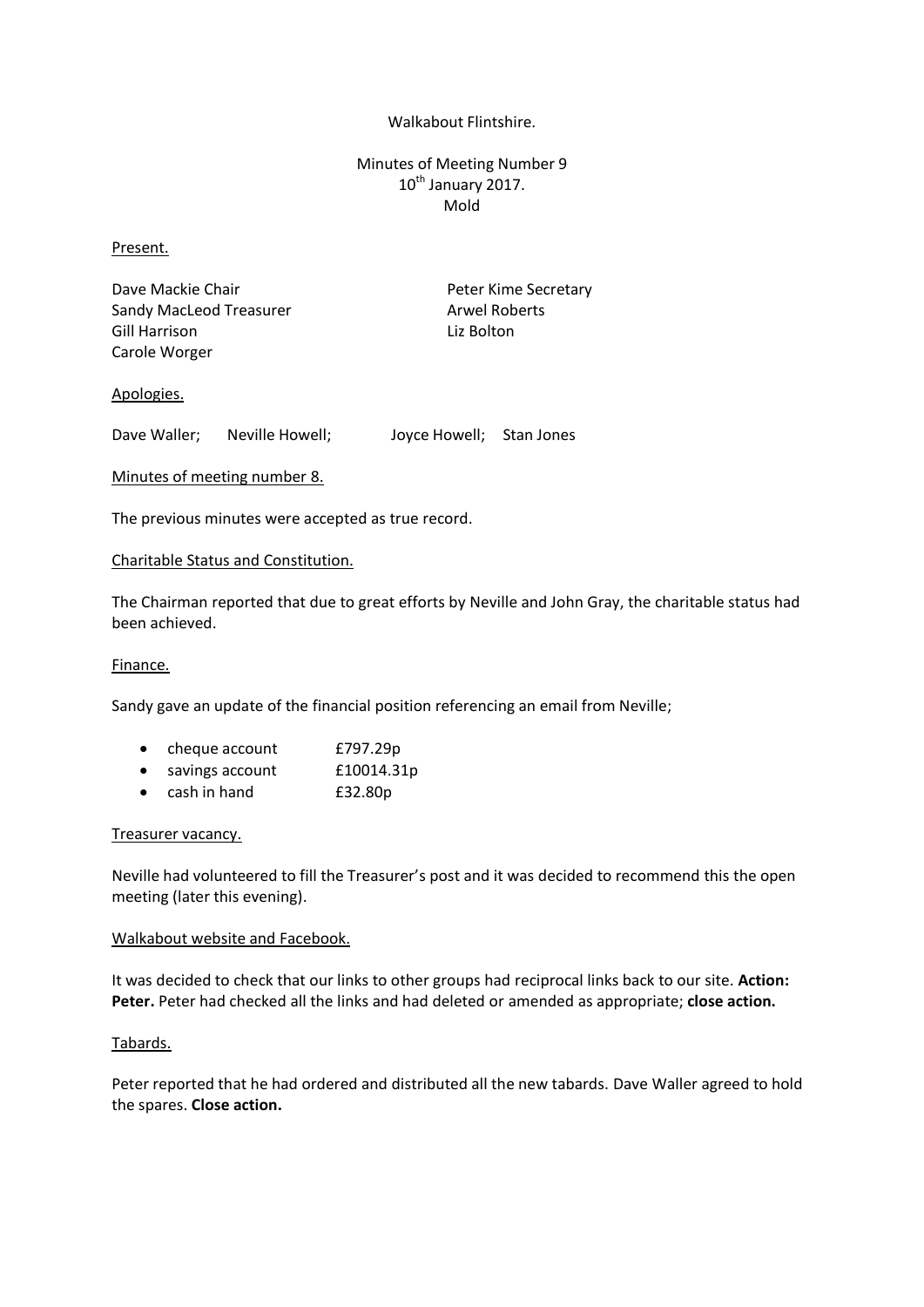## Walkabout Flintshire.

# Minutes of Meeting Number 9 10<sup>th</sup> January 2017. Mold

## Present.

Dave Mackie Chair **Peter Kime Secretary** Sandy MacLeod Treasurer Arwel Roberts Gill Harrison Liz Bolton Carole Worger

## Apologies.

Dave Waller; Neville Howell; Joyce Howell; Stan Jones

## Minutes of meeting number 8.

The previous minutes were accepted as true record.

#### Charitable Status and Constitution.

The Chairman reported that due to great efforts by Neville and John Gray, the charitable status had been achieved.

#### Finance.

Sandy gave an update of the financial position referencing an email from Neville;

|  | cheque account | £797.29p |
|--|----------------|----------|
|--|----------------|----------|

- savings account £10014.31p
- cash in hand £32.80p

#### Treasurer vacancy.

Neville had volunteered to fill the Treasurer's post and it was decided to recommend this the open meeting (later this evening).

### Walkabout website and Facebook.

It was decided to check that our links to other groups had reciprocal links back to our site. **Action: Peter.** Peter had checked all the links and had deleted or amended as appropriate; **close action.**

#### Tabards.

Peter reported that he had ordered and distributed all the new tabards. Dave Waller agreed to hold the spares. **Close action.**